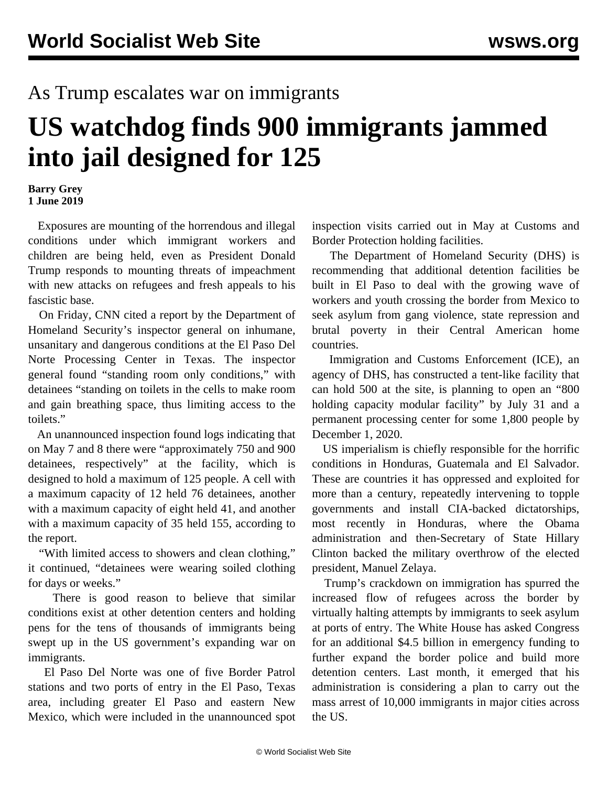## As Trump escalates war on immigrants

## **US watchdog finds 900 immigrants jammed into jail designed for 125**

## **Barry Grey 1 June 2019**

 Exposures are mounting of the horrendous and illegal conditions under which immigrant workers and children are being held, even as President Donald Trump responds to mounting threats of impeachment with new attacks on refugees and fresh appeals to his fascistic base.

 On Friday, CNN cited a report by the Department of Homeland Security's inspector general on inhumane, unsanitary and dangerous conditions at the El Paso Del Norte Processing Center in Texas. The inspector general found "standing room only conditions," with detainees "standing on toilets in the cells to make room and gain breathing space, thus limiting access to the toilets."

 An unannounced inspection found logs indicating that on May 7 and 8 there were "approximately 750 and 900 detainees, respectively" at the facility, which is designed to hold a maximum of 125 people. A cell with a maximum capacity of 12 held 76 detainees, another with a maximum capacity of eight held 41, and another with a maximum capacity of 35 held 155, according to the report.

 "With limited access to showers and clean clothing," it continued, "detainees were wearing soiled clothing for days or weeks."

 There is good reason to believe that similar conditions exist at other detention centers and holding pens for the tens of thousands of immigrants being swept up in the US government's expanding war on immigrants.

 El Paso Del Norte was one of five Border Patrol stations and two ports of entry in the El Paso, Texas area, including greater El Paso and eastern New Mexico, which were included in the unannounced spot inspection visits carried out in May at Customs and Border Protection holding facilities.

 The Department of Homeland Security (DHS) is recommending that additional detention facilities be built in El Paso to deal with the growing wave of workers and youth crossing the border from Mexico to seek asylum from gang violence, state repression and brutal poverty in their Central American home countries.

 Immigration and Customs Enforcement (ICE), an agency of DHS, has constructed a tent-like facility that can hold 500 at the site, is planning to open an "800 holding capacity modular facility" by July 31 and a permanent processing center for some 1,800 people by December 1, 2020.

 US imperialism is chiefly responsible for the horrific conditions in Honduras, Guatemala and El Salvador. These are countries it has oppressed and exploited for more than a century, repeatedly intervening to topple governments and install CIA-backed dictatorships, most recently in Honduras, where the Obama administration and then-Secretary of State Hillary Clinton backed the military overthrow of the elected president, Manuel Zelaya.

 Trump's crackdown on immigration has spurred the increased flow of refugees across the border by virtually halting attempts by immigrants to seek asylum at ports of entry. The White House has asked Congress for an additional \$4.5 billion in emergency funding to further expand the border police and build more detention centers. Last month, it emerged that his administration is considering a plan to carry out the mass arrest of 10,000 immigrants in major cities across the US.